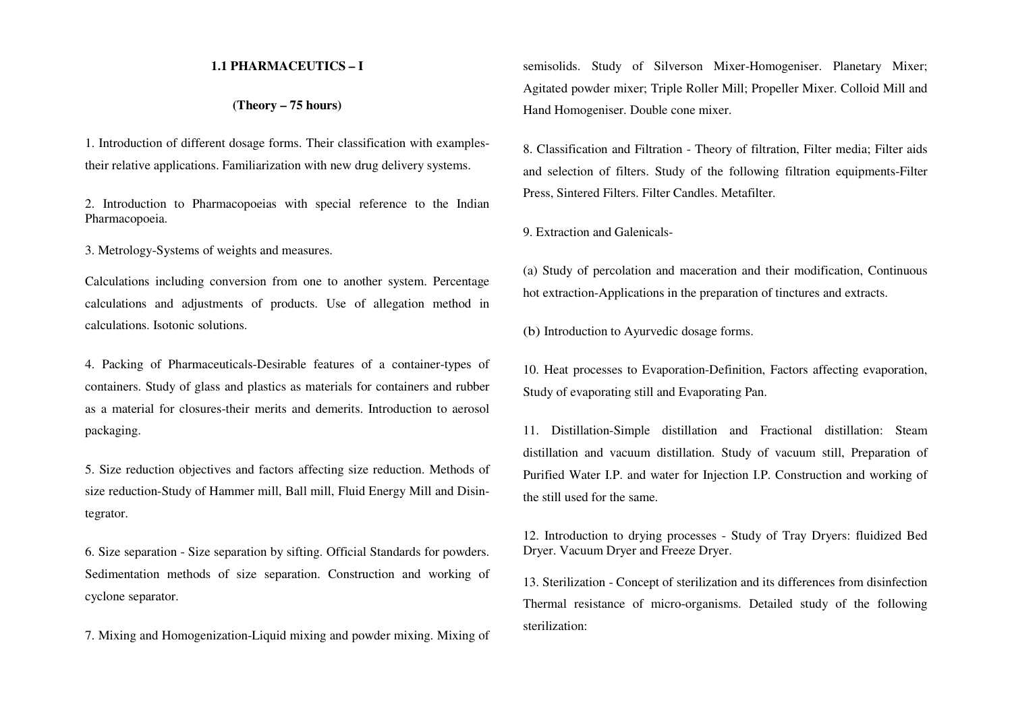#### **1.1 PHARMACEUTICS – I**

## **(Theory – 75 hours)**

1. Introduction of different dosage forms. Their classification with examplestheir relative applications. Familiarization with new drug delivery systems.

2. Introduction to Pharmacopoeias with special reference to the Indian Pharmacopoeia.

3. Metrology-Systems of weights and measures.

Calculations including conversion from one to another system. Percentage calculations and adjustments of products. Use of allegation method in calculations. Isotonic solutions.

4. Packing of Pharmaceuticals-Desirable features of a container-types of containers. Study of glass and plastics as materials for containers and rubber as a material for closures-their merits and demerits. Introduction to aerosol packaging.

5. Size reduction objectives and factors affecting size reduction. Methods of size reduction-Study of Hammer mill, Ball mill, Fluid Energy Mill and Disintegrator.

6. Size separation - Size separation by sifting. Official Standards for powders. Sedimentation methods of size separation. Construction and working of cyclone separator.

7. Mixing and Homogenization-Liquid mixing and powder mixing. Mixing of

semisolids. Study of Silverson Mixer-Homogeniser. Planetary Mixer; Agitated powder mixer; Triple Roller Mill; Propeller Mixer. Colloid Mill and Hand Homogeniser. Double cone mixer.

8. Classification and Filtration - Theory of filtration, Filter media; Filter aids and selection of filters. Study of the following filtration equipments-Filter Press, Sintered Filters. Filter Candles. Metafilter.

9. Extraction and Galenicals-

(a) Study of percolation and maceration and their modification, Continuous hot extraction-Applications in the preparation of tinctures and extracts.

(b) Introduction to Ayurvedic dosage forms.

10. Heat processes to Evaporation-Definition, Factors affecting evaporation, Study of evaporating still and Evaporating Pan.

11. Distillation-Simple distillation and Fractional distillation: Steam distillation and vacuum distillation. Study of vacuum still, Preparation of Purified Water I.P. and water for Injection I.P. Construction and working of the still used for the same.

12. Introduction to drying processes - Study of Tray Dryers: fluidized Bed Dryer. Vacuum Dryer and Freeze Dryer.

13. Sterilization - Concept of sterilization and its differences from disinfection Thermal resistance of micro-organisms. Detailed study of the following sterilization: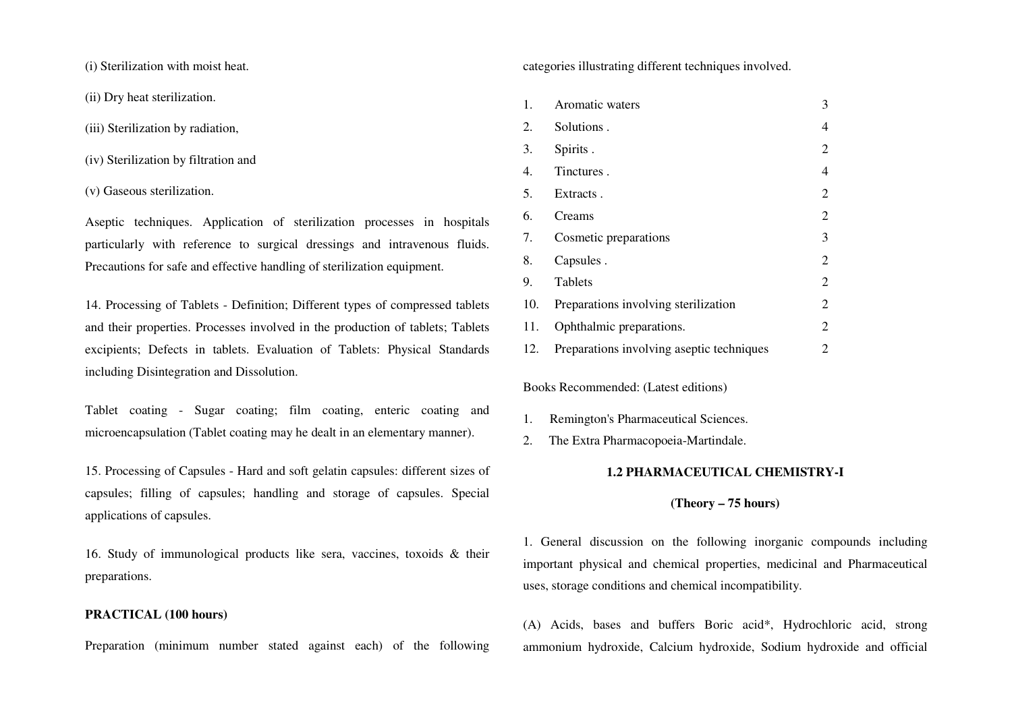(i) Sterilization with moist heat.

(ii) Dry heat sterilization.

- (iii) Sterilization by radiation,
- (iv) Sterilization by filtration and
- (v) Gaseous sterilization.

Aseptic techniques. Application of sterilization processes in hospitals particularly with reference to surgical dressings and intravenous fluids. Precautions for safe and effective handling of sterilization equipment.

14. Processing of Tablets - Definition; Different types of compressed tablets and their properties. Processes involved in the production of tablets; Tablets excipients; Defects in tablets. Evaluation of Tablets: Physical Standards including Disintegration and Dissolution.

Tablet coating - Sugar coating; film coating, enteric coating and microencapsulation (Tablet coating may he dealt in an elementary manner).

15. Processing of Capsules - Hard and soft gelatin capsules: different sizes of capsules; filling of capsules; handling and storage of capsules. Special applications of capsules.

16. Study of immunological products like sera, vaccines, toxoids & their preparations.

## **PRACTICAL (100 hours)**

Preparation (minimum number stated against each) of the following

categories illustrating different techniques involved.

1.Aromatic waters 3 2.Solutions . 4 3.Spirits . 2 4.Tinctures . 4 5.Extracts . 2 6. Creams 2 7.Cosmetic preparations 3 8.Capsules . 2 9.Tablets 2 10.Preparations involving sterilization 2 11.Ophthalmic preparations. 2 12.Preparations involving aseptic techniques 2

Books Recommended: (Latest editions)

- 1.Remington's Pharmaceutical Sciences.
- 2. The Extra Pharmacopoeia-Martindale.

#### **1.2 PHARMACEUTICAL CHEMISTRY-I**

#### **(Theory – 75 hours)**

1. General discussion on the following inorganic compounds including important physical and chemical properties, medicinal and Pharmaceutical uses, storage conditions and chemical incompatibility.

(A) Acids, bases and buffers Boric acid\*, Hydrochloric acid, strong ammonium hydroxide, Calcium hydroxide, Sodium hydroxide and official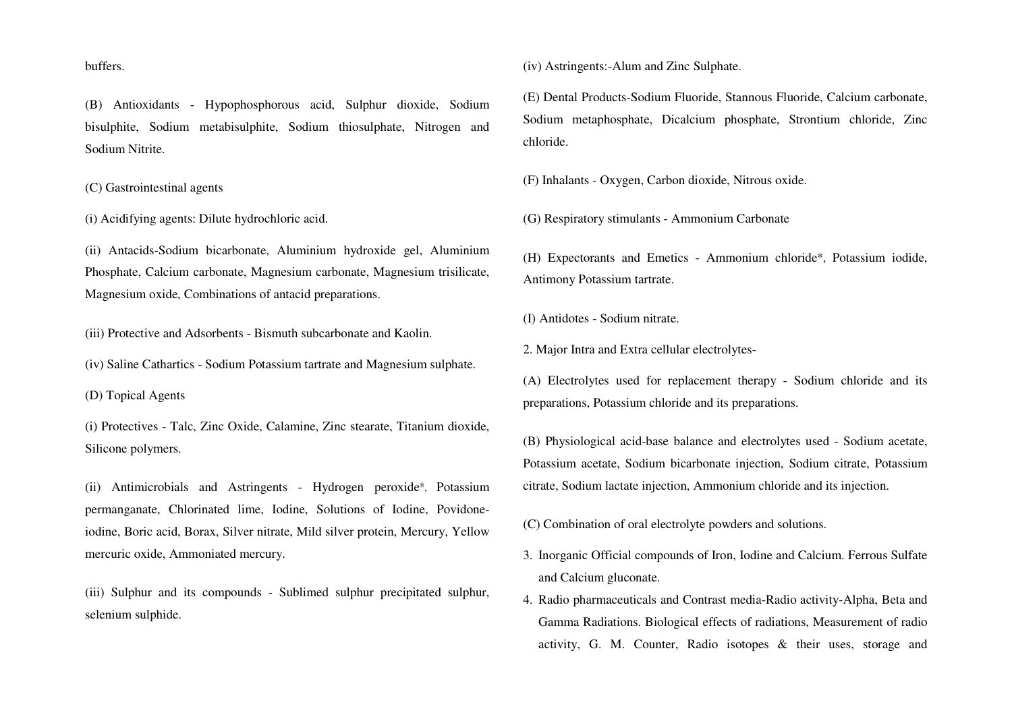buffers.

(B) Antioxidants - Hypophosphorous acid, Sulphur dioxide, Sodium bisulphite, Sodium metabisulphite, Sodium thiosulphate, Nitrogen and Sodium Nitrite.

## (C) Gastrointestinal agents

(i) Acidifying agents: Dilute hydrochloric acid.

(ii) Antacids-Sodium bicarbonate, Aluminium hydroxide gel, Aluminium Phosphate, Calcium carbonate, Magnesium carbonate, Magnesium trisilicate, Magnesium oxide, Combinations of antacid preparations.

(iii) Protective and Adsorbents - Bismuth subcarbonate and Kaolin.

(iv) Saline Cathartics - Sodium Potassium tartrate and Magnesium sulphate.

(D) Topical Agents

(i) Protectives - Talc, Zinc Oxide, Calamine, Zinc stearate, Titanium dioxide, Silicone polymers.

(ii) Antimicrobials and Astringents - Hydrogen peroxide\*, Potassium permanganate, Chlorinated lime, Iodine, Solutions of Iodine, Povidoneiodine, Boric acid, Borax, Silver nitrate, Mild silver protein, Mercury, Yellow mercuric oxide, Ammoniated mercury.

(iii) Sulphur and its compounds - Sublimed sulphur precipitated sulphur, selenium sulphide.

(iv) Astringents:-Alum and Zinc Sulphate.

(E) Dental Products-Sodium Fluoride, Stannous Fluoride, Calcium carbonate, Sodium metaphosphate, Dicalcium phosphate, Strontium chloride, Zinc chloride.

(F) Inhalants - Oxygen, Carbon dioxide, Nitrous oxide.

(G) Respiratory stimulants - Ammonium Carbonate

(H) Expectorants and Emetics - Ammonium chloride\*, Potassium iodide, Antimony Potassium tartrate.

(I) Antidotes - Sodium nitrate.

2. Major Intra and Extra cellular electrolytes-

(A) Electrolytes used for replacement therapy - Sodium chloride and its preparations, Potassium chloride and its preparations.

(B) Physiological acid-base balance and electrolytes used - Sodium acetate, Potassium acetate, Sodium bicarbonate injection, Sodium citrate, Potassium citrate, Sodium lactate injection, Ammonium chloride and its injection.

(C) Combination of oral electrolyte powders and solutions.

- 3. Inorganic Official compounds of Iron, Iodine and Calcium. Ferrous Sulfate and Calcium gluconate.
- 4. Radio pharmaceuticals and Contrast media-Radio activity-Alpha, Beta and Gamma Radiations. Biological effects of radiations, Measurement of radio activity, G. M. Counter, Radio isotopes & their uses, storage and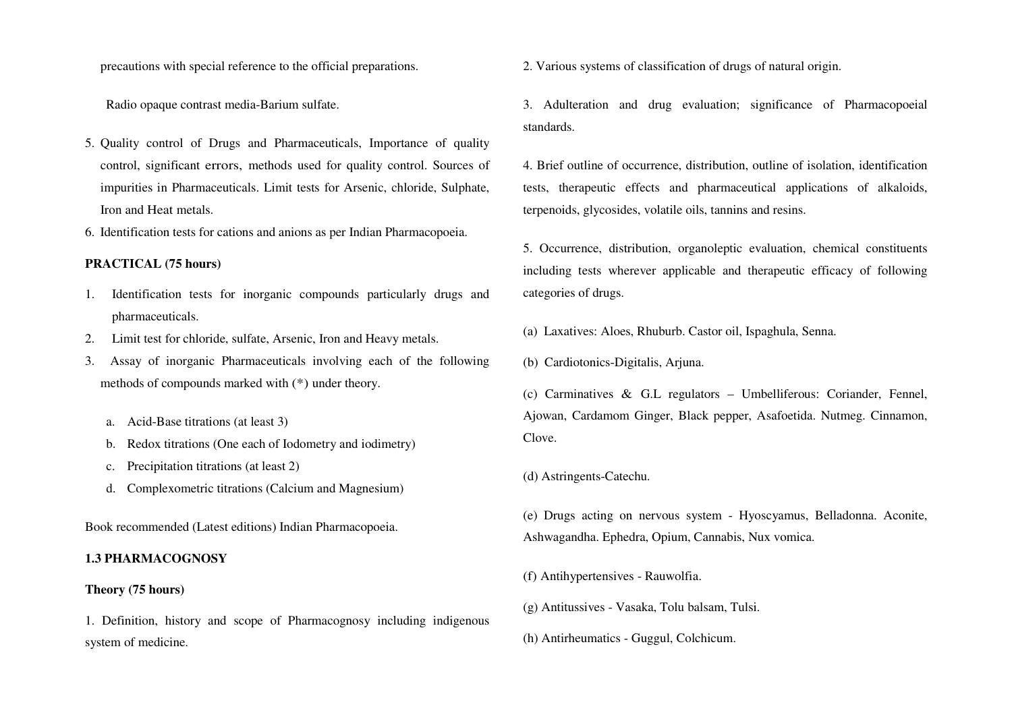precautions with special reference to the official preparations.

Radio opaque contrast media-Barium sulfate.

- 5. Quality control of Drugs and Pharmaceuticals, Importance of quality control, significant errors, methods used for quality control. Sources of impurities in Pharmaceuticals. Limit tests for Arsenic, chloride, Sulphate, Iron and Heat metals.
- 6. Identification tests for cations and anions as per Indian Pharmacopoeia.

### **PRACTICAL (75 hours)**

- 1. Identification tests for inorganic compounds particularly drugs and pharmaceuticals.
- 2.Limit test for chloride, sulfate, Arsenic, Iron and Heavy metals.
- 3. Assay of inorganic Pharmaceuticals involving each of the following methods of compounds marked with (\*) under theory.
	- a. Acid-Base titrations (at least 3)
	- b. Redox titrations (One each of Iodometry and iodimetry)
	- c. Precipitation titrations (at least 2)
	- d. Complexometric titrations (Calcium and Magnesium)

Book recommended (Latest editions) Indian Pharmacopoeia.

### **1.3 PHARMACOGNOSY**

#### **Theory (75 hours)**

1. Definition, history and scope of Pharmacognosy including indigenous system of medicine.

2. Various systems of classification of drugs of natural origin.

3. Adulteration and drug evaluation; significance of Pharmacopoeial standards.

4. Brief outline of occurrence, distribution, outline of isolation, identification tests, therapeutic effects and pharmaceutical applications of alkaloids, terpenoids, glycosides, volatile oils, tannins and resins.

5. Occurrence, distribution, organoleptic evaluation, chemical constituents including tests wherever applicable and therapeutic efficacy of following categories of drugs.

(a) Laxatives: Aloes, Rhuburb. Castor oil, Ispaghula, Senna.

(b) Cardiotonics-Digitalis, Arjuna.

(c) Carminatives & G.L regulators – Umbelliferous: Coriander, Fennel, Ajowan, Cardamom Ginger, Black pepper, Asafoetida. Nutmeg. Cinnamon, Clove.

(d) Astringents-Catechu.

(e) Drugs acting on nervous system - Hyoscyamus, Belladonna. Aconite, Ashwagandha. Ephedra, Opium, Cannabis, Nux vomica.

(f) Antihypertensives - Rauwolfia.

- (g) Antitussives Vasaka, Tolu balsam, Tulsi.
- (h) Antirheumatics Guggul, Colchicum.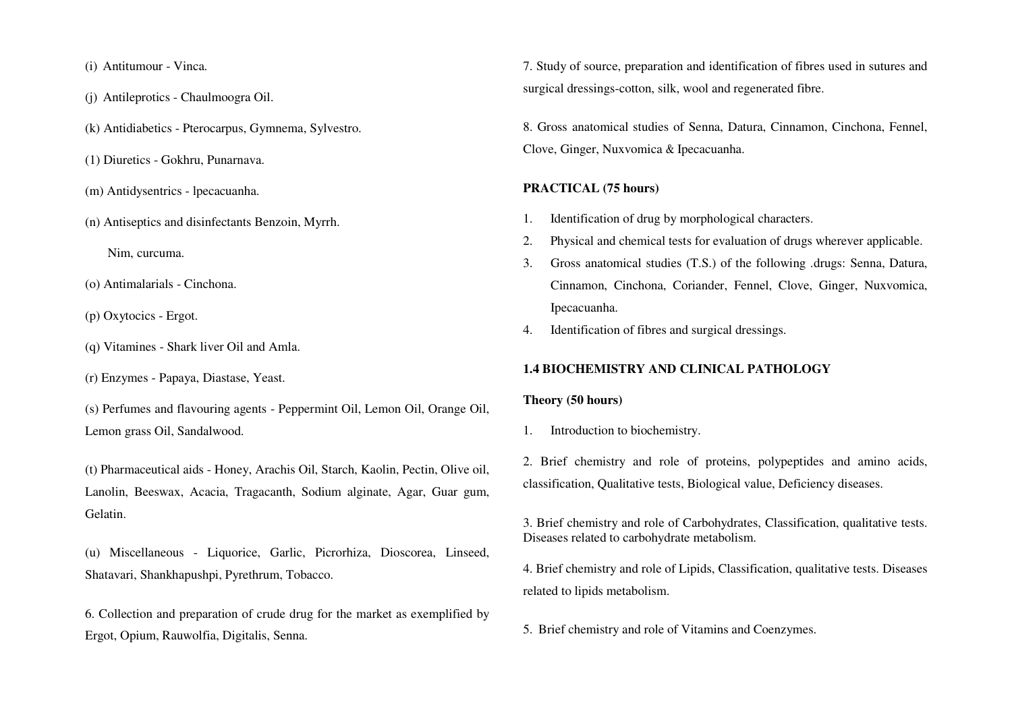(i) Antitumour - Vinca.

- (j) Antileprotics Chaulmoogra Oil.
- (k) Antidiabetics Pterocarpus, Gymnema, Sylvestro.
- (1) Diuretics Gokhru, Punarnava.
- (m) Antidysentrics lpecacuanha.
- (n) Antiseptics and disinfectants Benzoin, Myrrh.

Nim, curcuma.

- (o) Antimalarials Cinchona.
- (p) Oxytocics Ergot.
- (q) Vitamines Shark liver Oil and Amla.
- (r) Enzymes Papaya, Diastase, Yeast.
- (s) Perfumes and flavouring agents Peppermint Oil, Lemon Oil, Orange Oil, Lemon grass Oil, Sandalwood.
- (t) Pharmaceutical aids Honey, Arachis Oil, Starch, Kaolin, Pectin, Olive oil, Lanolin, Beeswax, Acacia, Tragacanth, Sodium alginate, Agar, Guar gum, Gelatin.

(u) Miscellaneous - Liquorice, Garlic, Picrorhiza, Dioscorea, Linseed, Shatavari, Shankhapushpi, Pyrethrum, Tobacco.

6. Collection and preparation of crude drug for the market as exemplified by Ergot, Opium, Rauwolfia, Digitalis, Senna.

7. Study of source, preparation and identification of fibres used in sutures and surgical dressings-cotton, silk, wool and regenerated fibre.

8. Gross anatomical studies of Senna, Datura, Cinnamon, Cinchona, Fennel, Clove, Ginger, Nuxvomica & Ipecacuanha.

### **PRACTICAL (75 hours)**

- 1.Identification of drug by morphological characters.
- 2.Physical and chemical tests for evaluation of drugs wherever applicable.
- 3. Gross anatomical studies (T.S.) of the following .drugs: Senna, Datura, Cinnamon, Cinchona, Coriander, Fennel, Clove, Ginger, Nuxvomica, Ipecacuanha.
- 4.Identification of fibres and surgical dressings.

#### **1.4 BIOCHEMISTRY AND CLINICAL PATHOLOGY**

#### **Theory (50 hours)**

1.Introduction to biochemistry.

2. Brief chemistry and role of proteins, polypeptides and amino acids, classification, Qualitative tests, Biological value, Deficiency diseases.

3. Brief chemistry and role of Carbohydrates, Classification, qualitative tests. Diseases related to carbohydrate metabolism.

4. Brief chemistry and role of Lipids, Classification, qualitative tests. Diseases related to lipids metabolism.

5. Brief chemistry and role of Vitamins and Coenzymes.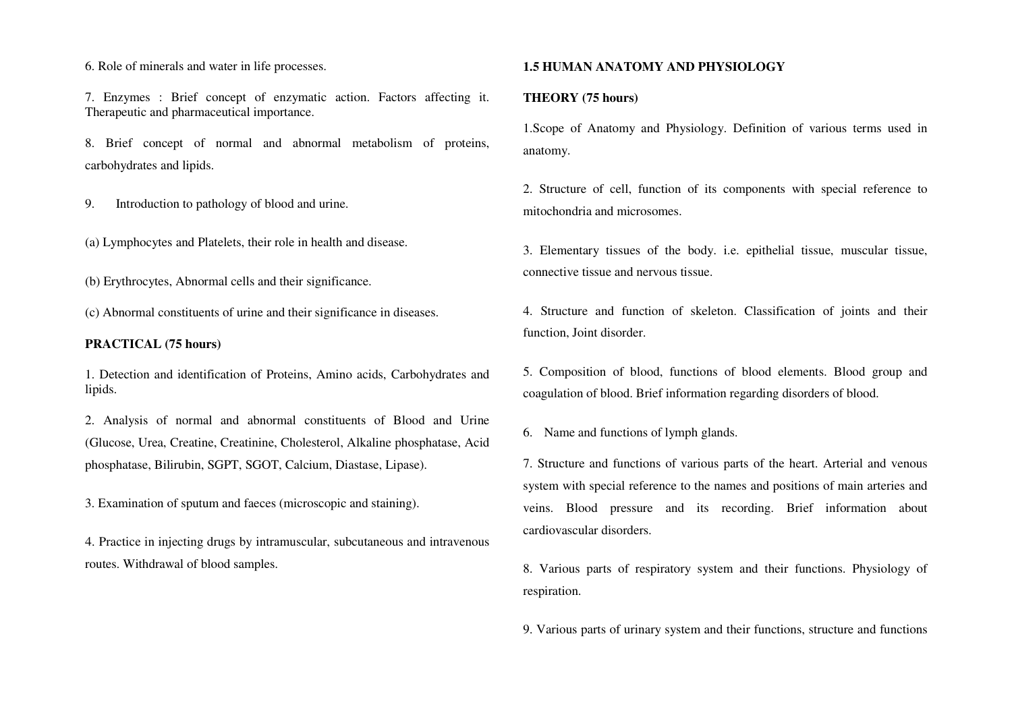6. Role of minerals and water in life processes.

7. Enzymes : Brief concept of enzymatic action. Factors affecting it. Therapeutic and pharmaceutical importance.

8. Brief concept of normal and abnormal metabolism of proteins, carbohydrates and lipids.

9. Introduction to pathology of blood and urine.

(a) Lymphocytes and Platelets, their role in health and disease.

(b) Erythrocytes, Abnormal cells and their significance.

(c) Abnormal constituents of urine and their significance in diseases.

#### **PRACTICAL (75 hours)**

1. Detection and identification of Proteins, Amino acids, Carbohydrates and lipids.

2. Analysis of normal and abnormal constituents of Blood and Urine (Glucose, Urea, Creatine, Creatinine, Cholesterol, Alkaline phosphatase, Acid phosphatase, Bilirubin, SGPT, SGOT, Calcium, Diastase, Lipase).

3. Examination of sputum and faeces (microscopic and staining).

4. Practice in injecting drugs by intramuscular, subcutaneous and intravenous routes. Withdrawal of blood samples.

### **1.5 HUMAN ANATOMY AND PHYSIOLOGY**

### **THEORY (75 hours)**

1.Scope of Anatomy and Physiology. Definition of various terms used in anatomy.

2. Structure of cell, function of its components with special reference to mitochondria and microsomes.

3. Elementary tissues of the body. i.e. epithelial tissue, muscular tissue, connective tissue and nervous tissue.

4. Structure and function of skeleton. Classification of joints and their function, Joint disorder.

5. Composition of blood, functions of blood elements. Blood group and coagulation of blood. Brief information regarding disorders of blood.

6. Name and functions of lymph glands.

7. Structure and functions of various parts of the heart. Arterial and venous system with special reference to the names and positions of main arteries and veins. Blood pressure and its recording. Brief information about cardiovascular disorders.

8. Various parts of respiratory system and their functions. Physiology of respiration.

9. Various parts of urinary system and their functions, structure and functions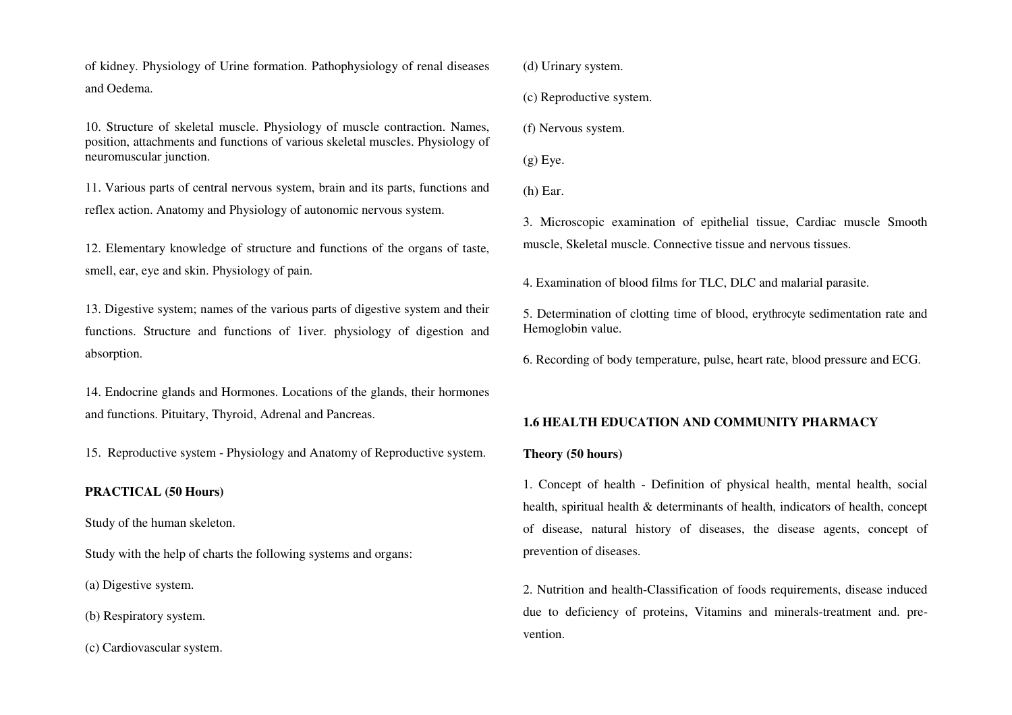of kidney. Physiology of Urine formation. Pathophysiology of renal diseases and Oedema.

10. Structure of skeletal muscle. Physiology of muscle contraction. Names, position, attachments and functions of various skeletal muscles. Physiology of neuromuscular junction.

11. Various parts of central nervous system, brain and its parts, functions and reflex action. Anatomy and Physiology of autonomic nervous system.

12. Elementary knowledge of structure and functions of the organs of taste, smell, ear, eye and skin. Physiology of pain.

13. Digestive system; names of the various parts of digestive system and their functions. Structure and functions of 1iver. physiology of digestion and absorption.

14. Endocrine glands and Hormones. Locations of the glands, their hormones and functions. Pituitary, Thyroid, Adrenal and Pancreas.

15. Reproductive system - Physiology and Anatomy of Reproductive system.

# **PRACTICAL (50 Hours)**

Study of the human skeleton.

Study with the help of charts the following systems and organs:

(a) Digestive system.

(b) Respiratory system.

(c) Cardiovascular system.

(d) Urinary system.

(c) Reproductive system.

(f) Nervous system.

 $(g)$  Eye.

(h) Ear.

3. Microscopic examination of epithelial tissue, Cardiac muscle Smooth muscle, Skeletal muscle. Connective tissue and nervous tissues.

4. Examination of blood films for TLC, DLC and malarial parasite.

5. Determination of clotting time of blood, erythrocyte sedimentation rate and Hemoglobin value.

6. Recording of body temperature, pulse, heart rate, blood pressure and ECG.

### **1.6 HEALTH EDUCATION AND COMMUNITY PHARMACY**

#### **Theory (50 hours)**

1. Concept of health - Definition of physical health, mental health, social health, spiritual health & determinants of health, indicators of health, concept of disease, natural history of diseases, the disease agents, concept of prevention of diseases.

2. Nutrition and health-Classification of foods requirements, disease induced due to deficiency of proteins, Vitamins and minerals-treatment and. prevention.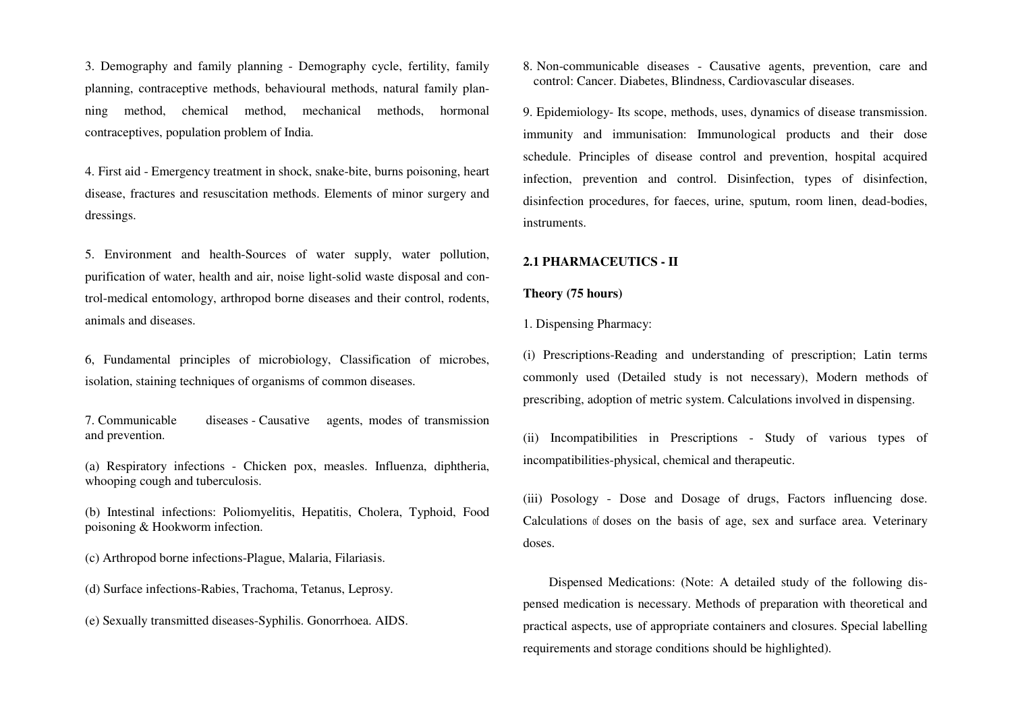3. Demography and family planning - Demography cycle, fertility, family planning, contraceptive methods, behavioural methods, natural family planning method, chemical method, mechanical methods, hormonal contraceptives, population problem of India.

4. First aid - Emergency treatment in shock, snake-bite, burns poisoning, heart disease, fractures and resuscitation methods. Elements of minor surgery and dressings.

5. Environment and health-Sources of water supply, water pollution, purification of water, health and air, noise light-solid waste disposal and control-medical entomology, arthropod borne diseases and their control, rodents, animals and diseases.

6, Fundamental principles of microbiology, Classification of microbes, isolation, staining techniques of organisms of common diseases.

7. Communicable diseases - Causative agents, modes of transmission and prevention.

(a) Respiratory infections - Chicken pox, measles. Influenza, diphtheria, whooping cough and tuberculosis.

(b) Intestinal infections: Poliomyelitis, Hepatitis, Cholera, Typhoid, Food poisoning & Hookworm infection.

(c) Arthropod borne infections-Plague, Malaria, Filariasis.

(d) Surface infections-Rabies, Trachoma, Tetanus, Leprosy.

(e) Sexually transmitted diseases-Syphilis. Gonorrhoea. AIDS.

8. Non-communicable diseases - Causative agents, prevention, care and control: Cancer. Diabetes, Blindness, Cardiovascular diseases.

9. Epidemiology- Its scope, methods, uses, dynamics of disease transmission. immunity and immunisation: Immunological products and their dose schedule. Principles of disease control and prevention, hospital acquired infection, prevention and control. Disinfection, types of disinfection, disinfection procedures, for faeces, urine, sputum, room linen, dead-bodies, instruments.

#### **2.1 PHARMACEUTICS - II**

#### **Theory (75 hours)**

1. Dispensing Pharmacy:

(i) Prescriptions-Reading and understanding of prescription; Latin terms commonly used (Detailed study is not necessary), Modern methods of prescribing, adoption of metric system. Calculations involved in dispensing.

(ii) Incompatibilities in Prescriptions - Study of various types of incompatibilities-physical, chemical and therapeutic.

(iii) Posology - Dose and Dosage of drugs, Factors influencing dose. Calculations of doses on the basis of age, sex and surface area. Veterinary doses.

 Dispensed Medications: (Note: A detailed study of the following dispensed medication is necessary. Methods of preparation with theoretical and practical aspects, use of appropriate containers and closures. Special labelling requirements and storage conditions should be highlighted).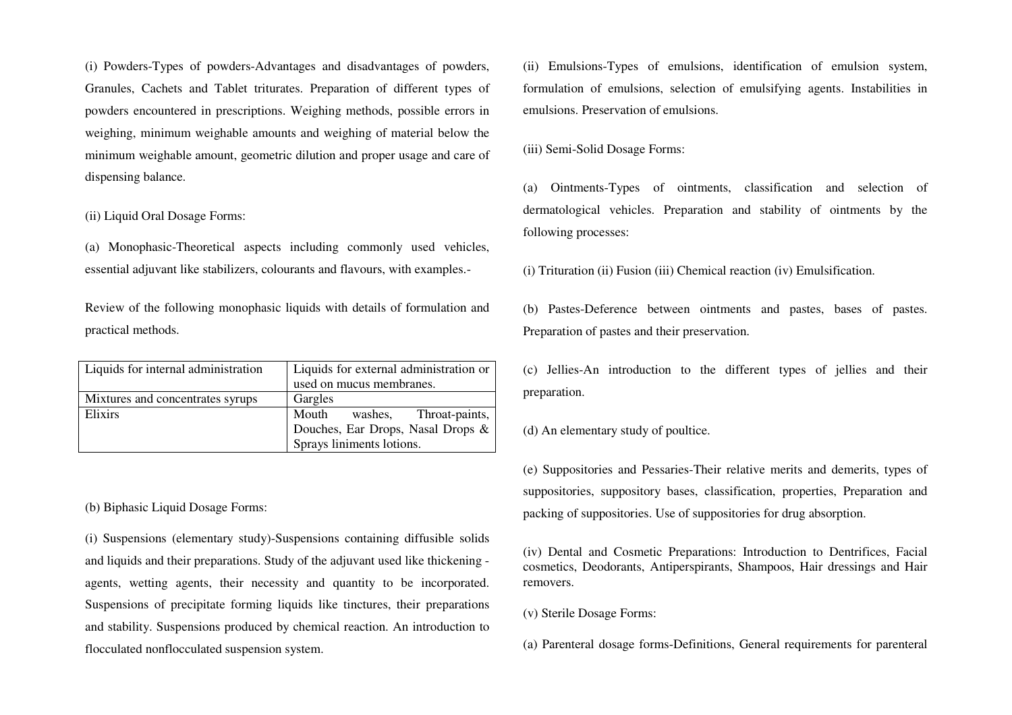(i) Powders-Types of powders-Advantages and disadvantages of powders, Granules, Cachets and Tablet triturates. Preparation of different types of powders encountered in prescriptions. Weighing methods, possible errors in weighing, minimum weighable amounts and weighing of material below the minimum weighable amount, geometric dilution and proper usage and care of dispensing balance.

(ii) Liquid Oral Dosage Forms:

(a) Monophasic-Theoretical aspects including commonly used vehicles, essential adjuvant like stabilizers, colourants and flavours, with examples.-

Review of the following monophasic liquids with details of formulation and practical methods.

| Liquids for internal administration | Liquids for external administration or |
|-------------------------------------|----------------------------------------|
|                                     | used on mucus membranes.               |
| Mixtures and concentrates syrups    | Gargles                                |
| Elixirs                             | Mouth<br>washes, Throat-paints,        |
|                                     | Douches, Ear Drops, Nasal Drops &      |
|                                     | Sprays liniments lotions.              |

(b) Biphasic Liquid Dosage Forms:

(i) Suspensions (elementary study)-Suspensions containing diffusible solids and liquids and their preparations. Study of the adjuvant used like thickening agents, wetting agents, their necessity and quantity to be incorporated. Suspensions of precipitate forming liquids like tinctures, their preparations and stability. Suspensions produced by chemical reaction. An introduction to flocculated nonflocculated suspension system.

(ii) Emulsions-Types of emulsions, identification of emulsion system, formulation of emulsions, selection of emulsifying agents. Instabilities in emulsions. Preservation of emulsions.

(iii) Semi-Solid Dosage Forms:

(a) Ointments-Types of ointments, classification and selection of dermatological vehicles. Preparation and stability of ointments by the following processes:

(i) Trituration (ii) Fusion (iii) Chemical reaction (iv) Emulsification.

(b) Pastes-Deference between ointments and pastes, bases of pastes. Preparation of pastes and their preservation.

(c) Jellies-An introduction to the different types of jellies and their preparation.

(d) An elementary study of poultice.

(e) Suppositories and Pessaries-Their relative merits and demerits, types of suppositories, suppository bases, classification, properties, Preparation and packing of suppositories. Use of suppositories for drug absorption.

(iv) Dental and Cosmetic Preparations: Introduction to Dentrifices, Facial cosmetics, Deodorants, Antiperspirants, Shampoos, Hair dressings and Hair removers.

(v) Sterile Dosage Forms:

(a) Parenteral dosage forms-Definitions, General requirements for parenteral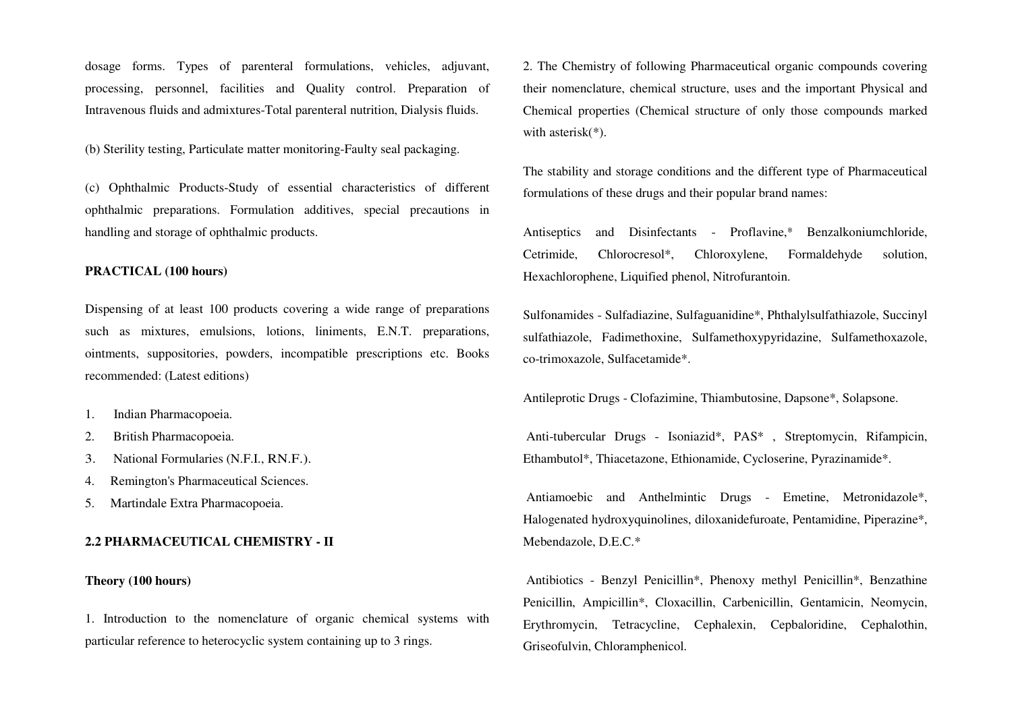dosage forms. Types of parenteral formulations, vehicles, adjuvant, processing, personnel, facilities and Quality control. Preparation of Intravenous fluids and admixtures-Total parenteral nutrition, Dialysis fluids.

(b) Sterility testing, Particulate matter monitoring-Faulty seal packaging.

(c) Ophthalmic Products-Study of essential characteristics of different ophthalmic preparations. Formulation additives, special precautions in handling and storage of ophthalmic products.

#### **PRACTICAL (100 hours)**

Dispensing of at least 100 products covering a wide range of preparations such as mixtures, emulsions, lotions, liniments, E.N.T. preparations, ointments, suppositories, powders, incompatible prescriptions etc. Books recommended: (Latest editions)

- 1.Indian Pharmacopoeia.
- 2.British Pharmacopoeia.
- 3.National Formularies (N.F.I., RN.F.).
- 4. Remington's Pharmaceutical Sciences.
- 5. Martindale Extra Pharmacopoeia.

### **2.2 PHARMACEUTICAL CHEMISTRY - II**

#### **Theory (100 hours)**

1. Introduction to the nomenclature of organic chemical systems with particular reference to heterocyclic system containing up to 3 rings.

2. The Chemistry of following Pharmaceutical organic compounds covering their nomenclature, chemical structure, uses and the important Physical and Chemical properties (Chemical structure of only those compounds marked with asterisk<sup>(\*)</sup>.

The stability and storage conditions and the different type of Pharmaceutical formulations of these drugs and their popular brand names:

Antiseptics and Disinfectants - Proflavine,\* Benzalkoniumchloride, Cetrimide, Chlorocresol\*, Chloroxylene, Formaldehyde solution, Hexachlorophene, Liquified phenol, Nitrofurantoin.

Sulfonamides - Sulfadiazine, Sulfaguanidine\*, Phthalylsulfathiazole, Succinyl sulfathiazole, Fadimethoxine, Sulfamethoxypyridazine, Sulfamethoxazole, co-trimoxazole, Sulfacetamide\*.

Antileprotic Drugs - Clofazimine, Thiambutosine, Dapsone\*, Solapsone.

 Anti-tubercular Drugs - Isoniazid\*, PAS\* , Streptomycin, Rifampicin, Ethambutol\*, Thiacetazone, Ethionamide, Cycloserine, Pyrazinamide\*.

 Antiamoebic and Anthelmintic Drugs - Emetine, Metronidazole\*, Halogenated hydroxyquinolines, diloxanidefuroate, Pentamidine, Piperazine\*, Mebendazole, D.E.C.\*

 Antibiotics - Benzyl Penicillin\*, Phenoxy methyl Penicillin\*, Benzathine Penicillin, Ampicillin\*, Cloxacillin, Carbenicillin, Gentamicin, Neomycin, Erythromycin, Tetracycline, Cephalexin, Cepbaloridine, Cephalothin, Griseofulvin, Chloramphenicol.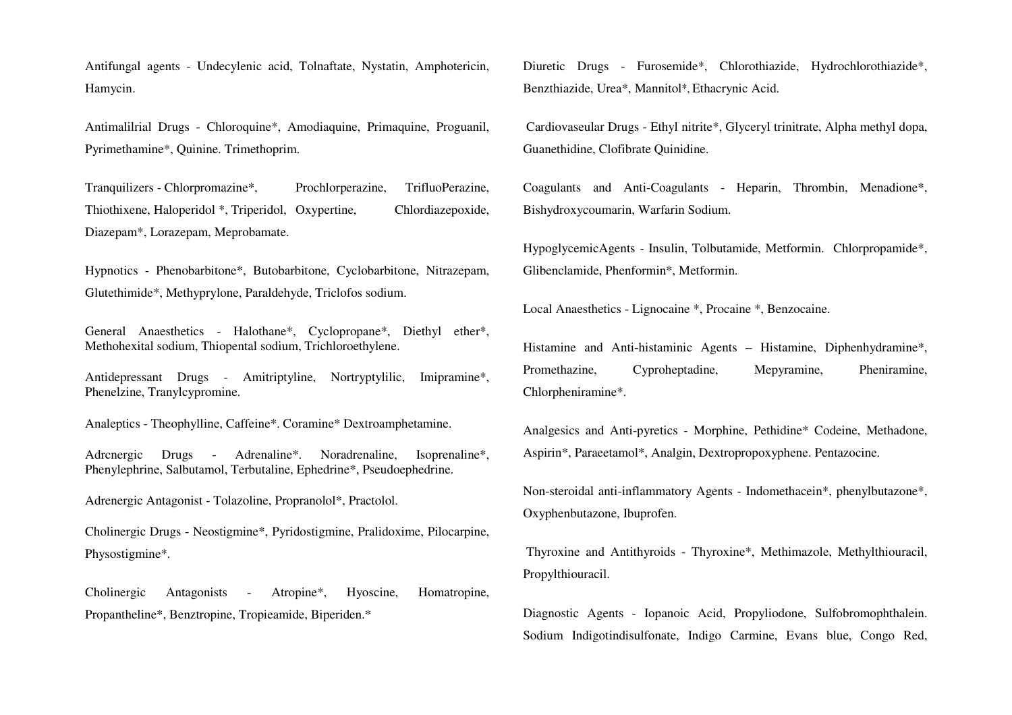Antifungal agents - Undecylenic acid, Tolnaftate, Nystatin, Amphotericin, Hamycin.

Antimalilrial Drugs - Chloroquine\*, Amodiaquine, Primaquine, Proguanil, Pyrimethamine\*, Quinine. Trimethoprim.

Tranquilizers - Chlorpromazine\*, Prochlorperazine, TrifluoPerazine, Thiothixene, Haloperidol \*, Triperidol, Oxypertine, Chlordiazepoxide, Diazepam\*, Lorazepam, Meprobamate.

Hypnotics - Phenobarbitone\*, Butobarbitone, Cyclobarbitone, Nitrazepam, Glutethimide\*, Methyprylone, Paraldehyde, Triclofos sodium.

General Anaesthetics - Halothane\*, Cyclopropane\*, Diethyl ether\*, Methohexital sodium, Thiopental sodium, Trichloroethylene.

Antidepressant Drugs - Amitriptyline, Nortryptylilic, Imipramine\*, Phenelzine, Tranylcypromine.

Analeptics - Theophylline, Caffeine\*. Coramine\* Dextroamphetamine.

Adrcnergic Drugs - Adrenaline\*. Noradrenaline, Isoprenaline\*, Phenylephrine, Salbutamol, Terbutaline, Ephedrine\*, Pseudoephedrine.

Adrenergic Antagonist - Tolazoline, Propranolol\*, Practolol.

Cholinergic Drugs - Neostigmine\*, Pyridostigmine, Pralidoxime, Pilocarpine, Physostigmine\*.

Cholinergic Antagonists - Atropine\*, Hyoscine, Homatropine, Propantheline\*, Benztropine, Tropieamide, Biperiden.\*

Diuretic Drugs - Furosemide\*, Chlorothiazide, Hydrochlorothiazide\*, Benzthiazide, Urea\*, Mannitol\*, Ethacrynic Acid.

 Cardiovaseular Drugs - Ethyl nitrite\*, Glyceryl trinitrate, Alpha methyl dopa, Guanethidine, Clofibrate Quinidine.

Coagulants and Anti-Coagulants - Heparin, Thrombin, Menadione\*, Bishydroxycoumarin, Warfarin Sodium.

HypoglycemicAgents - Insulin, Tolbutamide, Metformin. Chlorpropamide\*, Glibenclamide, Phenformin\*, Metformin.

Local Anaesthetics - Lignocaine \*, Procaine \*, Benzocaine.

Histamine and Anti-histaminic Agents – Histamine, Diphenhydramine\*, Promethazine, Cyproheptadine, Mepyramine, Pheniramine, Chlorpheniramine\*.

Analgesics and Anti-pyretics - Morphine, Pethidine\* Codeine, Methadone, Aspirin\*, Paraeetamol\*, Analgin, Dextropropoxyphene. Pentazocine.

Non-steroidal anti-inflammatory Agents - Indomethacein\*, phenylbutazone\*, Oxyphenbutazone, Ibuprofen.

 Thyroxine and Antithyroids - Thyroxine\*, Methimazole, Methylthiouracil, Propylthiouracil.

Diagnostic Agents - Iopanoic Acid, Propyliodone, Sulfobromophthalein. Sodium Indigotindisulfonate, Indigo Carmine, Evans blue, Congo Red,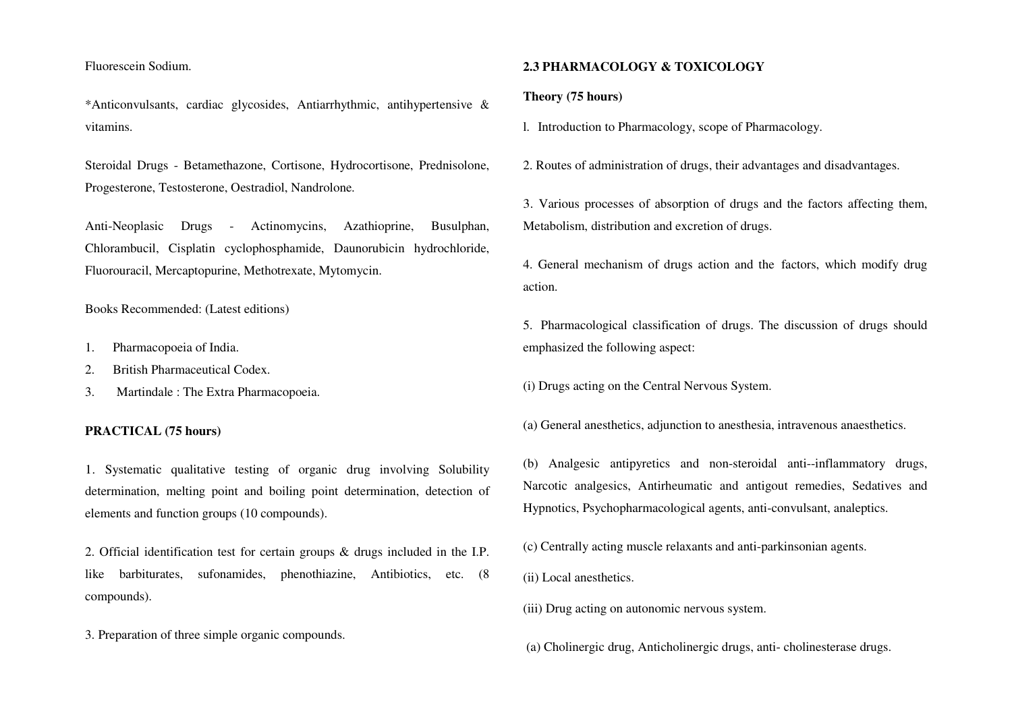Fluorescein Sodium.

\*Anticonvulsants, cardiac glycosides, Antiarrhythmic, antihypertensive & vitamins.

Steroidal Drugs - Betamethazone, Cortisone, Hydrocortisone, Prednisolone, Progesterone, Testosterone, Oestradiol, Nandrolone.

Anti-Neoplasic Drugs - Actinomycins, Azathioprine, Busulphan, Chlorambucil, Cisplatin cyclophosphamide, Daunorubicin hydrochloride, Fluorouracil, Mercaptopurine, Methotrexate, Mytomycin.

Books Recommended: (Latest editions)

- 1.Pharmacopoeia of India.
- 2.British Pharmaceutical Codex.
- 3.Martindale : The Extra Pharmacopoeia.

#### **PRACTICAL (75 hours)**

1. Systematic qualitative testing of organic drug involving Solubility determination, melting point and boiling point determination, detection of elements and function groups (10 compounds).

2. Official identification test for certain groups & drugs included in the I.P. like barbiturates, sufonamides, phenothiazine, Antibiotics, etc. (8 compounds).

3. Preparation of three simple organic compounds.

#### **2.3 PHARMACOLOGY & TOXICOLOGY**

#### **Theory (75 hours)**

l. Introduction to Pharmacology, scope of Pharmacology.

2. Routes of administration of drugs, their advantages and disadvantages.

3. Various processes of absorption of drugs and the factors affecting them, Metabolism, distribution and excretion of drugs.

4. General mechanism of drugs action and the factors, which modify drug action.

5. Pharmacological classification of drugs. The discussion of drugs should emphasized the following aspect:

(i) Drugs acting on the Central Nervous System.

(a) General anesthetics, adjunction to anesthesia, intravenous anaesthetics.

(b) Analgesic antipyretics and non-steroidal anti--inflammatory drugs, Narcotic analgesics, Antirheumatic and antigout remedies, Sedatives and Hypnotics, Psychopharmacological agents, anti-convulsant, analeptics.

(c) Centrally acting muscle relaxants and anti-parkinsonian agents.

(ii) Local anesthetics.

(iii) Drug acting on autonomic nervous system.

(a) Cholinergic drug, Anticholinergic drugs, anti- cholinesterase drugs.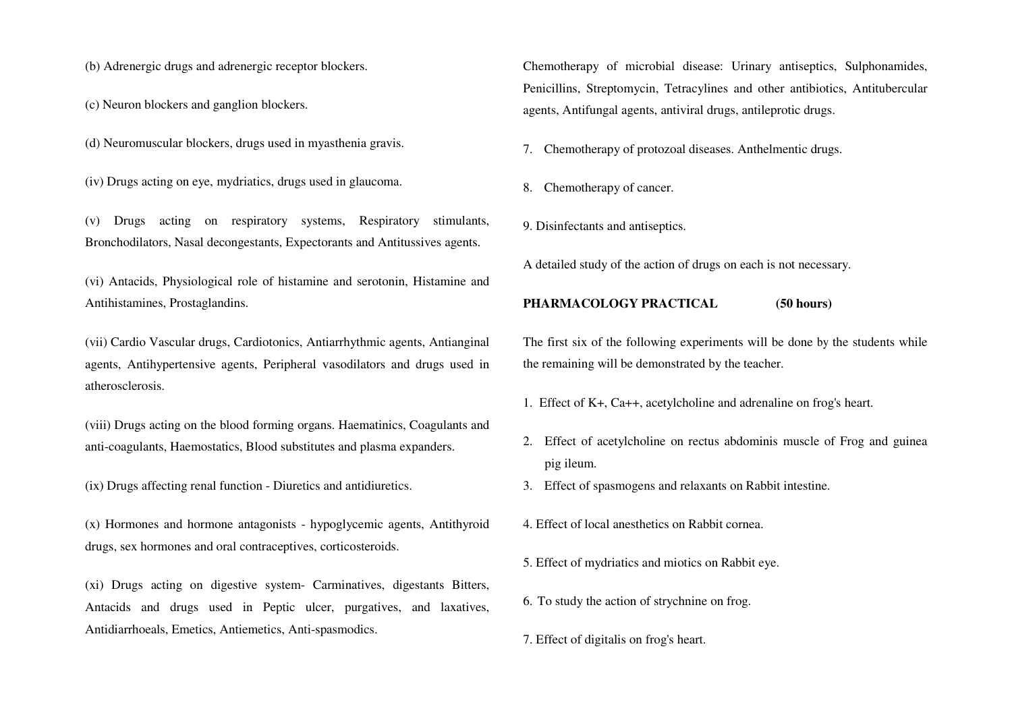(b) Adrenergic drugs and adrenergic receptor blockers.

(c) Neuron blockers and ganglion blockers.

- (d) Neuromuscular blockers, drugs used in myasthenia gravis.
- (iv) Drugs acting on eye, mydriatics, drugs used in glaucoma.

(v) Drugs acting on respiratory systems, Respiratory stimulants, Bronchodilators, Nasal decongestants, Expectorants and Antitussives agents.

(vi) Antacids, Physiological role of histamine and serotonin, Histamine and Antihistamines, Prostaglandins.

(vii) Cardio Vascular drugs, Cardiotonics, Antiarrhythmic agents, Antianginal agents, Antihypertensive agents, Peripheral vasodilators and drugs used in atherosclerosis.

(viii) Drugs acting on the blood forming organs. Haematinics, Coagulants and anti-coagulants, Haemostatics, Blood substitutes and plasma expanders.

- (ix) Drugs affecting renal function Diuretics and antidiuretics.
- (x) Hormones and hormone antagonists hypoglycemic agents, Antithyroid drugs, sex hormones and oral contraceptives, corticosteroids.

(xi) Drugs acting on digestive system- Carminatives, digestants Bitters, Antacids and drugs used in Peptic ulcer, purgatives, and laxatives, Antidiarrhoeals, Emetics, Antiemetics, Anti-spasmodics.

Chemotherapy of microbial disease: Urinary antiseptics, Sulphonamides, Penicillins, Streptomycin, Tetracylines and other antibiotics, Antitubercular agents, Antifungal agents, antiviral drugs, antileprotic drugs.

7. Chemotherapy of protozoal diseases. Anthelmentic drugs.

- 8. Chemotherapy of cancer.
- 9. Disinfectants and antiseptics.

A detailed study of the action of drugs on each is not necessary.

#### **PHARMACOLOGY PRACTICAL (50 hours)**

The first six of the following experiments will be done by the students while the remaining will be demonstrated by the teacher.

- 1. Effect of K+, Ca++, acetylcholine and adrenaline on frog's heart.
- 2. Effect of acetylcholine on rectus abdominis muscle of Frog and guinea pig ileum.
- 3. Effect of spasmogens and relaxants on Rabbit intestine.
- 4. Effect of local anesthetics on Rabbit cornea.
- 5. Effect of mydriatics and miotics on Rabbit eye.
- 6. To study the action of strychnine on frog.
- 7. Effect of digitalis on frog's heart.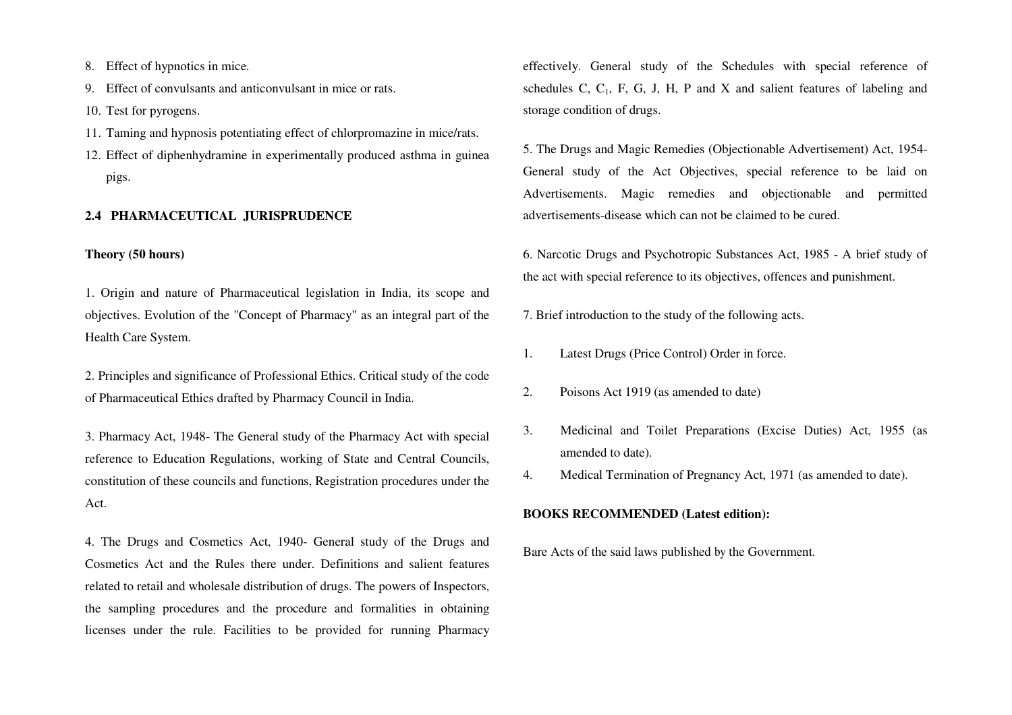- 8. Effect of hypnotics in mice.
- 9. Effect of convulsants and anticonvulsant in mice or rats.
- 10. Test for pyrogens.
- 11. Taming and hypnosis potentiating effect of chlorpromazine in mice/rats.
- 12. Effect of diphenhydramine in experimentally produced asthma in guinea pigs.

## **2.4 PHARMACEUTICAL JURISPRUDENCE**

## **Theory (50 hours)**

1. Origin and nature of Pharmaceutical legislation in India, its scope and objectives. Evolution of the "Concept of Pharmacy" as an integral part of the Health Care System.

2. Principles and significance of Professional Ethics. Critical study of the code of Pharmaceutical Ethics drafted by Pharmacy Council in India.

3. Pharmacy Act, 1948- The General study of the Pharmacy Act with special reference to Education Regulations, working of State and Central Councils, constitution of these councils and functions, Registration procedures under the Act.

4. The Drugs and Cosmetics Act, 1940- General study of the Drugs and Cosmetics Act and the Rules there under. Definitions and salient features related to retail and wholesale distribution of drugs. The powers of Inspectors, the sampling procedures and the procedure and formalities in obtaining licenses under the rule. Facilities to be provided for running Pharmacy

effectively. General study of the Schedules with special reference of schedules C,  $C_1$ , F, G, J, H, P and X and salient features of labeling and storage condition of drugs.

5. The Drugs and Magic Remedies (Objectionable Advertisement) Act, 1954- General study of the Act Objectives, special reference to be laid on Advertisements. Magic remedies and objectionable and permitted advertisements-disease which can not be claimed to be cured.

6. Narcotic Drugs and Psychotropic Substances Act, 1985 - A brief study of the act with special reference to its objectives, offences and punishment.

- 7. Brief introduction to the study of the following acts.
- 1. Latest Drugs (Price Control) Order in force.
- 2. Poisons Act 1919 (as amended to date)
- 3. Medicinal and Toilet Preparations (Excise Duties) Act, 1955 (as amended to date).
- 4.Medical Termination of Pregnancy Act, 1971 (as amended to date).

#### **BOOKS RECOMMENDED (Latest edition):**

Bare Acts of the said laws published by the Government.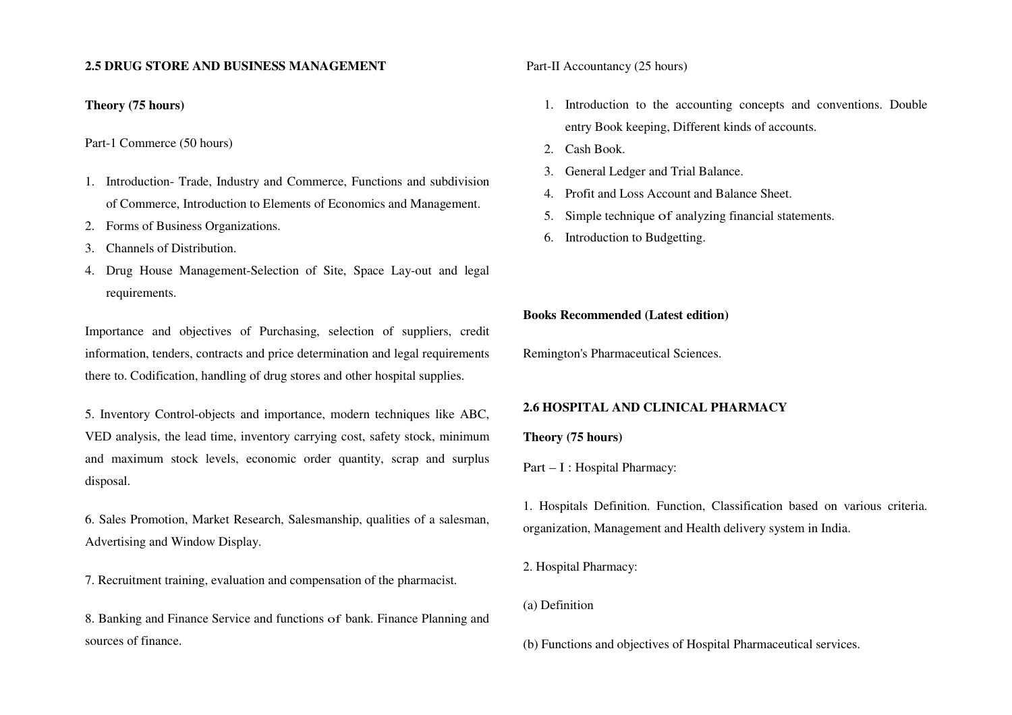### **2.5 DRUG STORE AND BUSINESS MANAGEMENT**

## **Theory (75 hours)**

Part-1 Commerce (50 hours)

- 1. Introduction- Trade, Industry and Commerce, Functions and subdivision of Commerce, Introduction to Elements of Economics and Management.
- 2. Forms of Business Organizations.
- 3. Channels of Distribution.
- 4. Drug House Management-Selection of Site, Space Lay-out and legal requirements.

Importance and objectives of Purchasing, selection of suppliers, credit information, tenders, contracts and price determination and legal requirements there to. Codification, handling of drug stores and other hospital supplies.

5. Inventory Control-objects and importance, modern techniques like ABC, VED analysis, the lead time, inventory carrying cost, safety stock, minimum and maximum stock levels, economic order quantity, scrap and surplus disposal.

6. Sales Promotion, Market Research, Salesmanship, qualities of a salesman, Advertising and Window Display.

7. Recruitment training, evaluation and compensation of the pharmacist.

8. Banking and Finance Service and functions of bank. Finance Planning and sources of finance.

Part-II Accountancy (25 hours)

- 1. Introduction to the accounting concepts and conventions. Double entry Book keeping, Different kinds of accounts.
- 2. Cash Book.
- 3. General Ledger and Trial Balance.
- 4. Profit and Loss Account and Balance Sheet.
- 5. Simple technique of analyzing financial statements.
- 6. Introduction to Budgetting.

#### **Books Recommended (Latest edition)**

Remington's Pharmaceutical Sciences.

## **2.6 HOSPITAL AND CLINICAL PHARMACY**

#### **Theory (75 hours)**

Part – I : Hospital Pharmacy:

1. Hospitals Definition. Function, Classification based on various criteria. organization, Management and Health delivery system in India.

2. Hospital Pharmacy:

(a) Definition

(b) Functions and objectives of Hospital Pharmaceutical services.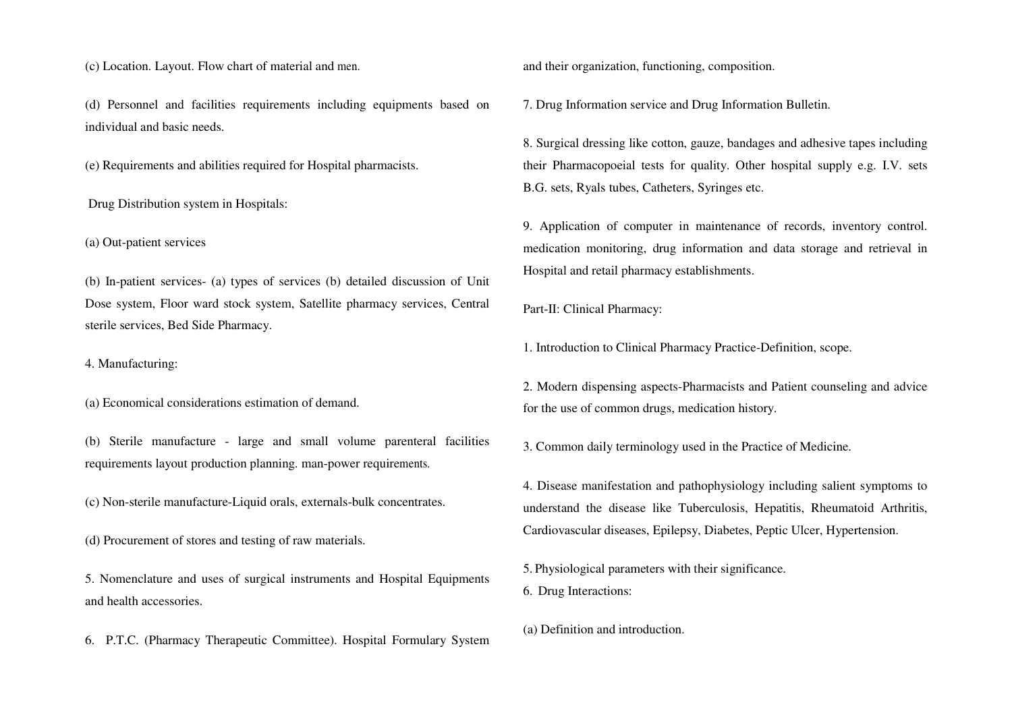(c) Location. Layout. Flow chart of material and men.

(d) Personnel and facilities requirements including equipments based on individual and basic needs.

(e) Requirements and abilities required for Hospital pharmacists.

Drug Distribution system in Hospitals:

(a) Out-patient services

(b) In-patient services- (a) types of services (b) detailed discussion of Unit Dose system, Floor ward stock system, Satellite pharmacy services, Central sterile services, Bed Side Pharmacy.

4. Manufacturing:

(a) Economical considerations estimation of demand.

(b) Sterile manufacture - large and small volume parenteral facilities requirements layout production planning. man-power requirements.

(c) Non-sterile manufacture-Liquid orals, externals-bulk concentrates.

(d) Procurement of stores and testing of raw materials.

5. Nomenclature and uses of surgical instruments and Hospital Equipments and health accessories.

6. P.T.C. (Pharmacy Therapeutic Committee). Hospital Formulary System

and their organization, functioning, composition.

7. Drug Information service and Drug Information Bulletin.

8. Surgical dressing like cotton, gauze, bandages and adhesive tapes including their Pharmacopoeial tests for quality. Other hospital supply e.g. I.V. sets B.G. sets, Ryals tubes, Catheters, Syringes etc.

9. Application of computer in maintenance of records, inventory control. medication monitoring, drug information and data storage and retrieval in Hospital and retail pharmacy establishments.

Part-II: Clinical Pharmacy:

1. Introduction to Clinical Pharmacy Practice-Definition, scope.

2. Modern dispensing aspects-Pharmacists and Patient counseling and advice for the use of common drugs, medication history.

3. Common daily terminology used in the Practice of Medicine.

4. Disease manifestation and pathophysiology including salient symptoms to understand the disease like Tuberculosis, Hepatitis, Rheumatoid Arthritis, Cardiovascular diseases, Epilepsy, Diabetes, Peptic Ulcer, Hypertension.

5. Physiological parameters with their significance. 6. Drug Interactions:

(a) Definition and introduction.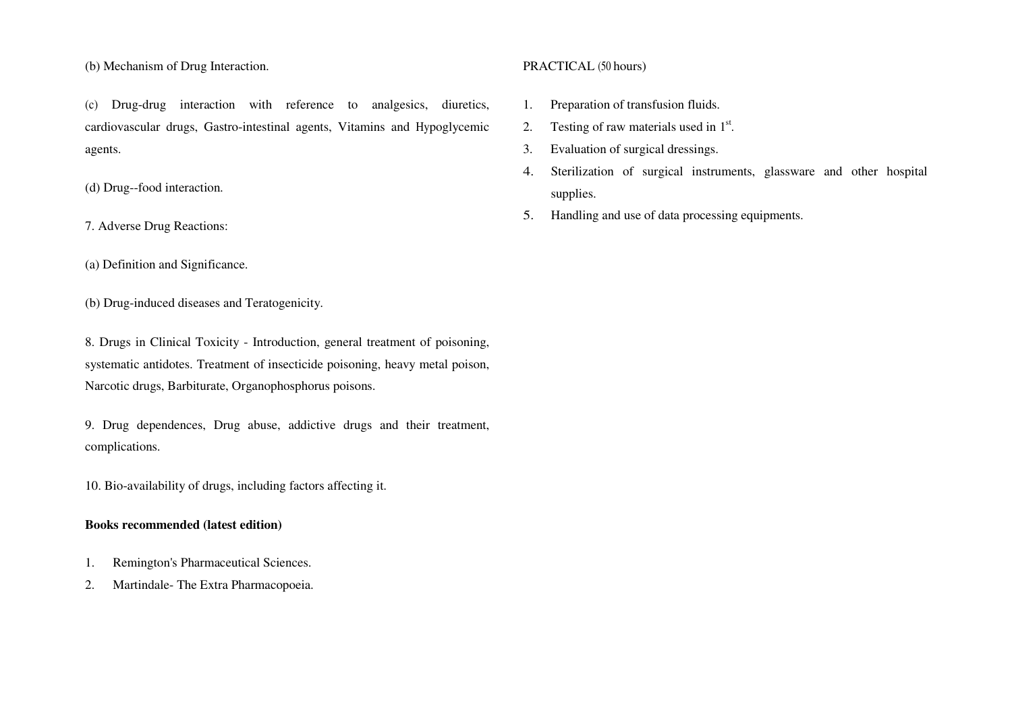(b) Mechanism of Drug Interaction.

(c) Drug-drug interaction with reference to analgesics, diuretics, cardiovascular drugs, Gastro-intestinal agents, Vitamins and Hypoglycemic agents.

(d) Drug--food interaction.

7. Adverse Drug Reactions:

(a) Definition and Significance.

(b) Drug-induced diseases and Teratogenicity.

8. Drugs in Clinical Toxicity - Introduction, general treatment of poisoning, systematic antidotes. Treatment of insecticide poisoning, heavy metal poison, Narcotic drugs, Barbiturate, Organophosphorus poisons.

9. Drug dependences, Drug abuse, addictive drugs and their treatment, complications.

10. Bio-availability of drugs, including factors affecting it.

# **Books recommended (latest edition)**

- 1.Remington's Pharmaceutical Sciences.
- 2.Martindale- The Extra Pharmacopoeia.

## PRACTICAL (50 hours)

- 1.Preparation of transfusion fluids.
- 2.Testing of raw materials used in  $1<sup>st</sup>$ .
- 3.Evaluation of surgical dressings.
- 4. Sterilization of surgical instruments, glassware and other hospital supplies.
- 5.Handling and use of data processing equipments.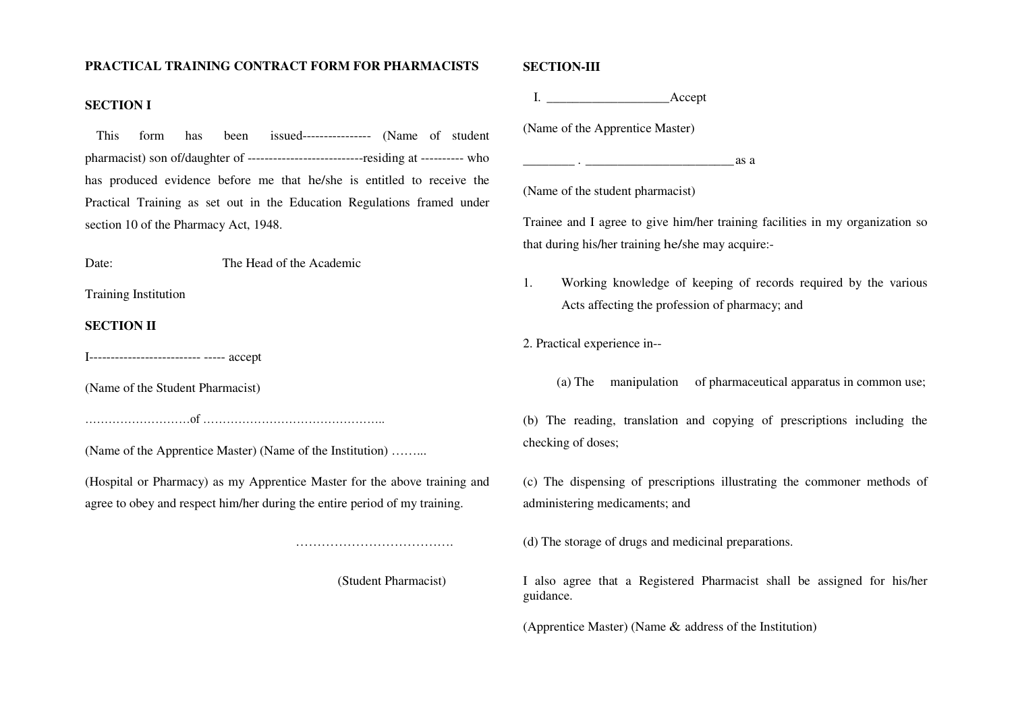## **PRACTICAL TRAINING CONTRACT FORM FOR PHARMACISTS**

### **SECTION I**

 This form has been issued---------------- (Name of student pharmacist) son of/daughter of ---------------------------residing at ---------- who has produced evidence before me that he/she is entitled to receive the Practical Training as set out in the Education Regulations framed under section 10 of the Pharmacy Act, 1948.

#### Date: The Head of the Academic

Training Institution

## **SECTION II**

I-------------------------- ----- accept

(Name of the Student Pharmacist)

 $\delta$  is the same of  $\delta$ 

(Name of the Apprentice Master) (Name of the Institution) ……...

(Hospital or Pharmacy) as my Apprentice Master for the above training and agree to obey and respect him/her during the entire period of my training.

(Student Pharmacist)

…………………………………………

#### **SECTION-III**

I. \_\_\_\_\_\_\_\_\_\_\_\_\_\_\_\_\_\_\_ Accept

(Name of the Apprentice Master)

 $\Box$  .  $\Box$  .  $\Box$  .  $\Box$  .  $\Box$  .  $\Box$  .  $\Box$  .  $\Box$  .  $\Box$  .  $\Box$  .  $\Box$  .  $\Box$  .  $\Box$  .  $\Box$  .  $\Box$  .  $\Box$  .  $\Box$  .  $\Box$  .  $\Box$  .  $\Box$  .  $\Box$  .  $\Box$  .  $\Box$  .  $\Box$  .  $\Box$  .  $\Box$  .  $\Box$  .  $\Box$  .  $\Box$  .  $\Box$  .  $\Box$  .  $\Box$ 

(Name of the student pharmacist)

Trainee and I agree to give him/her training facilities in my organization so that during his/her training he/she may acquire:-

1. Working knowledge of keeping of records required by the various Acts affecting the profession of pharmacy; and

2. Practical experience in--

(a) The manipulation of pharmaceutical apparatus in common use;

(b) The reading, translation and copying of prescriptions including the checking of doses;

(c) The dispensing of prescriptions illustrating the commoner methods of administering medicaments; and

(d) The storage of drugs and medicinal preparations.

I also agree that a Registered Pharmacist shall be assigned for his/her guidance.

(Apprentice Master) (Name & address of the Institution)